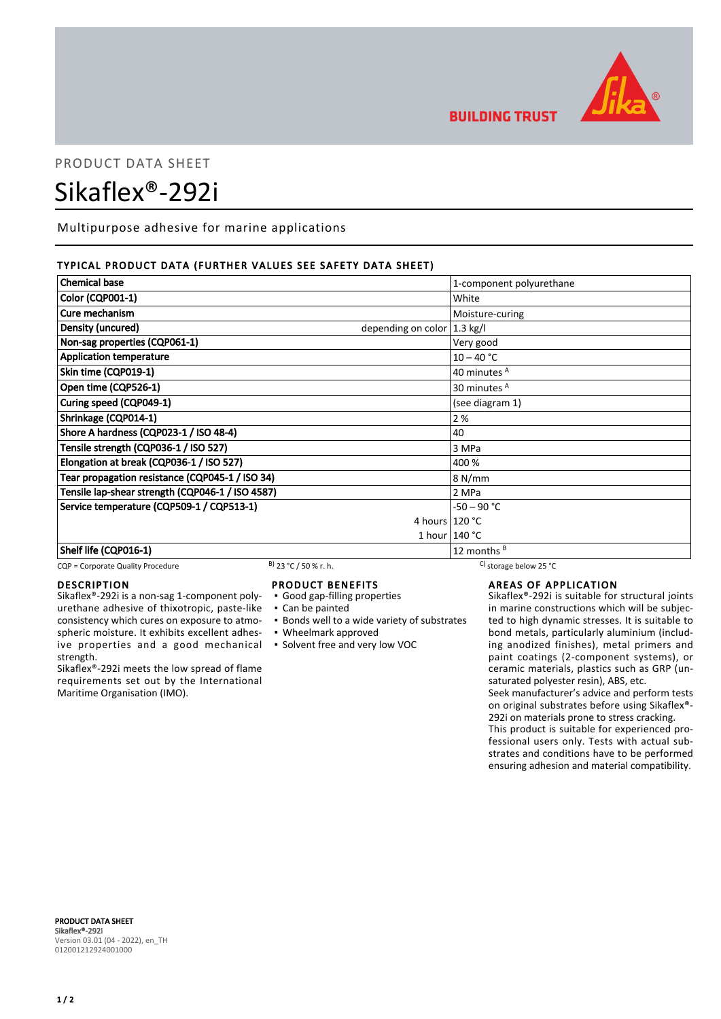

**BUILDING TRUST** 

# PRODUCT DATA SHEET Sikaflex®-292i

Multipurpose adhesive for marine applications

# TYPICAL PRODUCT DATA (FURTHER VALUES SEE SAFETY DATA SHEET)

| <b>Chemical base</b>                             | 1-component polyurethane               |
|--------------------------------------------------|----------------------------------------|
| <b>Color (CQP001-1)</b>                          | White                                  |
| Cure mechanism                                   | Moisture-curing                        |
| Density (uncured)                                | depending on color $ 1.3 \text{ kg}/I$ |
| Non-sag properties (CQP061-1)                    | Very good                              |
| <b>Application temperature</b>                   | $10 - 40 °C$                           |
| Skin time (CQP019-1)                             | 40 minutes <sup>A</sup>                |
| Open time (CQP526-1)                             | 30 minutes <sup>A</sup>                |
| Curing speed (CQP049-1)                          | (see diagram 1)                        |
| Shrinkage (CQP014-1)                             | 2%                                     |
| Shore A hardness (CQP023-1 / ISO 48-4)           | 40                                     |
| Tensile strength (CQP036-1 / ISO 527)            | 3 MPa                                  |
| Elongation at break (CQP036-1 / ISO 527)         | 400 %                                  |
| Tear propagation resistance (CQP045-1 / ISO 34)  | 8 N/mm                                 |
| Tensile lap-shear strength (CQP046-1 / ISO 4587) | 2 MPa                                  |
| Service temperature (CQP509-1 / CQP513-1)        | $-50 - 90 °C$                          |
|                                                  | 4 hours $120 °C$                       |
|                                                  | 1 hour $140 °C$                        |
| Shelf life (CQP016-1)                            | 12 months $B$                          |

#### CQP = Corporate Quality Procedure B) 23 °C / 50 % r. h. C) storage below 25 °C

# DESCRIPTION

Sikaflex®-292i is a non-sag 1-component polyurethane adhesive of thixotropic, paste-like consistency which cures on exposure to atmospheric moisture. It exhibits excellent adhesive properties and a good mechanical strength.

Sikaflex®-292i meets the low spread of flame requirements set out by the International Maritime Organisation (IMO).

# PRODUCT BENEFITS

- Good gap-filling properties
- Can be painted
- **.** Bonds well to a wide variety of substrates
- Wheelmark approved
- Solvent free and very low VOC

AREAS OF APPLICATION

Sikaflex®-292i is suitable for structural joints in marine constructions which will be subjected to high dynamic stresses. It is suitable to bond metals, particularly aluminium (including anodized finishes), metal primers and paint coatings (2-component systems), or ceramic materials, plastics such as GRP (unsaturated polyester resin), ABS, etc. Seek manufacturer's advice and perform tests on original substrates before using Sikaflex®- 292i on materials prone to stress cracking.

This product is suitable for experienced professional users only. Tests with actual substrates and conditions have to be performed ensuring adhesion and material compatibility.

PRODUCT DATA SHEET Sikaflex®-292i Version 03.01 (04 - 2022), en\_TH 012001212924001000